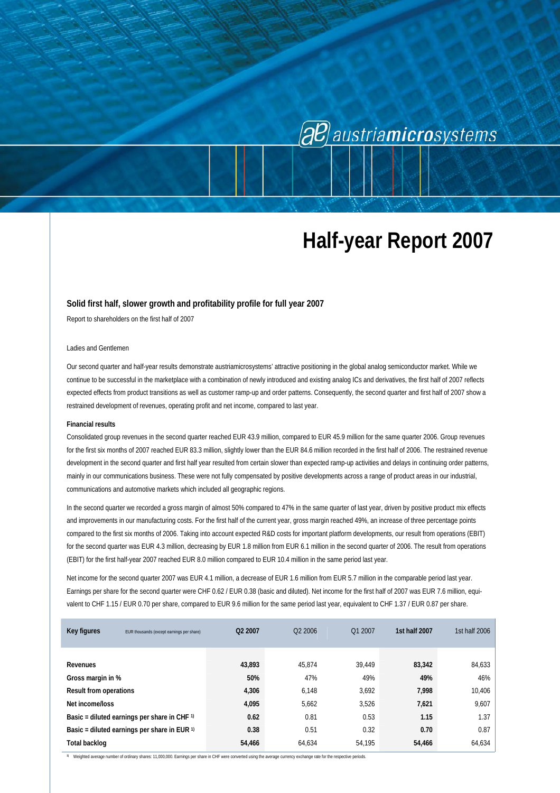# (aB) austriamicrosystems

# **Half-year Report 2007**

#### **Solid first half, slower growth and profitability profile for full year 2007**

Report to shareholders on the first half of 2007

### Ladies and Gentlemen

Our second quarter and half-year results demonstrate austriamicrosystems' attractive positioning in the global analog semiconductor market. While we continue to be successful in the marketplace with a combination of newly introduced and existing analog ICs and derivatives, the first half of 2007 reflects expected effects from product transitions as well as customer ramp-up and order patterns. Consequently, the second quarter and first half of 2007 show a restrained development of revenues, operating profit and net income, compared to last year.

#### **Financial results**

Consolidated group revenues in the second quarter reached EUR 43.9 million, compared to EUR 45.9 million for the same quarter 2006. Group revenues for the first six months of 2007 reached EUR 83.3 million, slightly lower than the EUR 84.6 million recorded in the first half of 2006. The restrained revenue development in the second quarter and first half year resulted from certain slower than expected ramp-up activities and delays in continuing order patterns, mainly in our communications business. These were not fully compensated by positive developments across a range of product areas in our industrial, communications and automotive markets which included all geographic regions.

In the second quarter we recorded a gross margin of almost 50% compared to 47% in the same quarter of last year, driven by positive product mix effects and improvements in our manufacturing costs. For the first half of the current year, gross margin reached 49%, an increase of three percentage points compared to the first six months of 2006. Taking into account expected R&D costs for important platform developments, our result from operations (EBIT) for the second quarter was EUR 4.3 million, decreasing by EUR 1.8 million from EUR 6.1 million in the second quarter of 2006. The result from operations (EBIT) for the first half-year 2007 reached EUR 8.0 million compared to EUR 10.4 million in the same period last year.

Net income for the second quarter 2007 was EUR 4.1 million, a decrease of EUR 1.6 million from EUR 5.7 million in the comparable period last year. Earnings per share for the second quarter were CHF 0.62 / EUR 0.38 (basic and diluted). Net income for the first half of 2007 was EUR 7.6 million, equivalent to CHF 1.15 / EUR 0.70 per share, compared to EUR 9.6 million for the same period last year, equivalent to CHF 1.37 / EUR 0.87 per share.

| Key figures                                             | EUR thousands (except earnings per share)            | Q2 2007 | O <sub>2</sub> 2006 | Q1 2007 | 1st half 2007 | 1st half 2006 |
|---------------------------------------------------------|------------------------------------------------------|---------|---------------------|---------|---------------|---------------|
|                                                         |                                                      |         |                     |         |               |               |
| Revenues                                                |                                                      | 43,893  | 45.874              | 39.449  | 83,342        | 84,633        |
| Gross margin in %                                       |                                                      | 50%     | 47%                 | 49%     | 49%           | 46%           |
| <b>Result from operations</b>                           |                                                      | 4,306   | 6.148               | 3,692   | 7,998         | 10,406        |
| Net income/loss                                         |                                                      | 4,095   | 5,662               | 3,526   | 7,621         | 9,607         |
|                                                         | Basic = diluted earnings per share in CHF $\upsilon$ | 0.62    | 0.81                | 0.53    | 1.15          | 1.37          |
| Basic = diluted earnings per share in EUR $\frac{1}{1}$ |                                                      | 0.38    | 0.51                | 0.32    | 0.70          | 0.87          |
| Total backlog                                           |                                                      | 54,466  | 64.634              | 54.195  | 54,466        | 64,634        |

**1)** Weighted average number of ordinary shares: 11,000,000. Earnings per share in CHF were converted using the average currency exchange rate for the respective periods.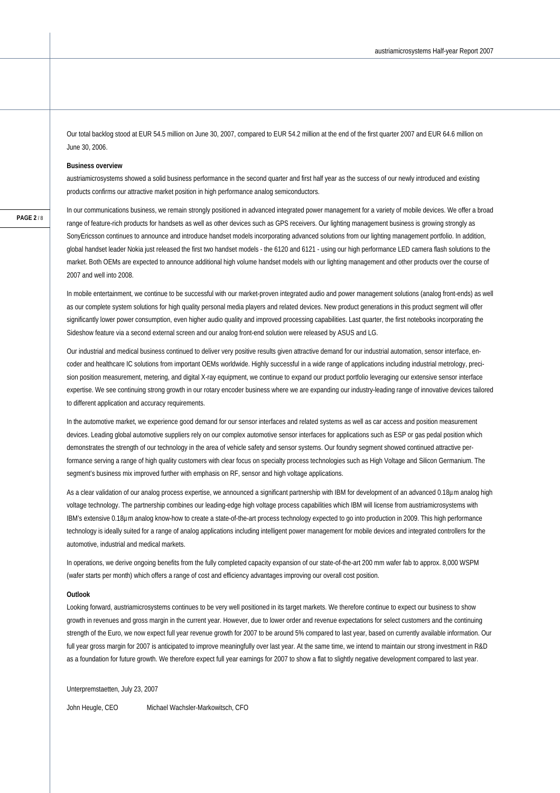Our total backlog stood at EUR 54.5 million on June 30, 2007, compared to EUR 54.2 million at the end of the first quarter 2007 and EUR 64.6 million on June 30, 2006.

#### **Business overview**

austriamicrosystems showed a solid business performance in the second quarter and first half year as the success of our newly introduced and existing products confirms our attractive market position in high performance analog semiconductors.

In our communications business, we remain strongly positioned in advanced integrated power management for a variety of mobile devices. We offer a broad range of feature-rich products for handsets as well as other devices such as GPS receivers. Our lighting management business is growing strongly as SonyEricsson continues to announce and introduce handset models incorporating advanced solutions from our lighting management portfolio. In addition, global handset leader Nokia just released the first two handset models - the 6120 and 6121 - using our high performance LED camera flash solutions to the market. Both OEMs are expected to announce additional high volume handset models with our lighting management and other products over the course of 2007 and well into 2008.

In mobile entertainment, we continue to be successful with our market-proven integrated audio and power management solutions (analog front-ends) as well as our complete system solutions for high quality personal media players and related devices. New product generations in this product segment will offer significantly lower power consumption, even higher audio quality and improved processing capabilities. Last quarter, the first notebooks incorporating the Sideshow feature via a second external screen and our analog front-end solution were released by ASUS and LG.

Our industrial and medical business continued to deliver very positive results given attractive demand for our industrial automation, sensor interface, encoder and healthcare IC solutions from important OEMs worldwide. Highly successful in a wide range of applications including industrial metrology, precision position measurement, metering, and digital X-ray equipment, we continue to expand our product portfolio leveraging our extensive sensor interface expertise. We see continuing strong growth in our rotary encoder business where we are expanding our industry-leading range of innovative devices tailored to different application and accuracy requirements.

In the automotive market, we experience good demand for our sensor interfaces and related systems as well as car access and position measurement devices. Leading global automotive suppliers rely on our complex automotive sensor interfaces for applications such as ESP or gas pedal position which demonstrates the strength of our technology in the area of vehicle safety and sensor systems. Our foundry segment showed continued attractive performance serving a range of high quality customers with clear focus on specialty process technologies such as High Voltage and Silicon Germanium. The segment's business mix improved further with emphasis on RF, sensor and high voltage applications.

As a clear validation of our analog process expertise, we announced a significant partnership with IBM for development of an advanced 0.18µm analog high voltage technology. The partnership combines our leading-edge high voltage process capabilities which IBM will license from austriamicrosystems with IBM's extensive 0.18µm analog know-how to create a state-of-the-art process technology expected to go into production in 2009. This high performance technology is ideally suited for a range of analog applications including intelligent power management for mobile devices and integrated controllers for the automotive, industrial and medical markets.

In operations, we derive ongoing benefits from the fully completed capacity expansion of our state-of-the-art 200 mm wafer fab to approx. 8,000 WSPM (wafer starts per month) which offers a range of cost and efficiency advantages improving our overall cost position.

#### **Outlook**

Looking forward, austriamicrosystems continues to be very well positioned in its target markets. We therefore continue to expect our business to show growth in revenues and gross margin in the current year. However, due to lower order and revenue expectations for select customers and the continuing strength of the Euro, we now expect full year revenue growth for 2007 to be around 5% compared to last year, based on currently available information. Our full year gross margin for 2007 is anticipated to improve meaningfully over last year. At the same time, we intend to maintain our strong investment in R&D as a foundation for future growth. We therefore expect full year earnings for 2007 to show a flat to slightly negative development compared to last year.

Unterpremstaetten, July 23, 2007

John Heugle, CEO Michael Wachsler-Markowitsch, CFO

**PAGE 2** / 8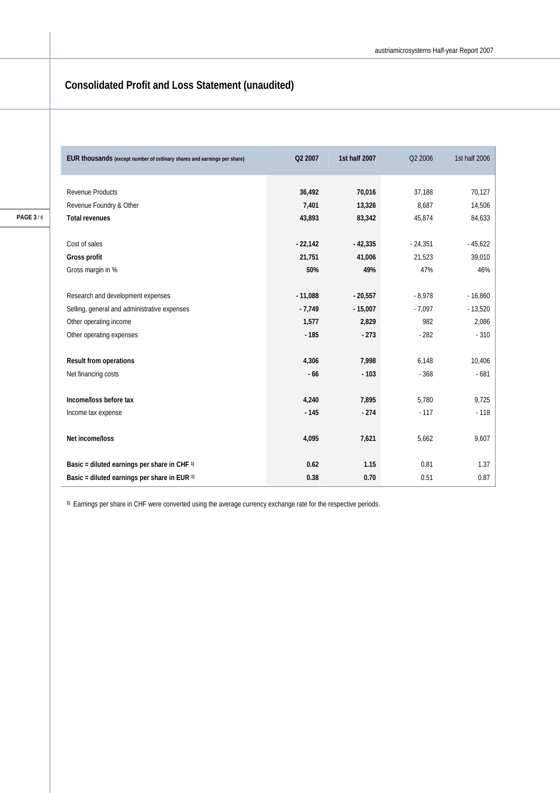## **Consolidated Profit and Loss Statement (unaudited)**

| Q2 2007   | 1st half 2007 | Q2 2006   | 1st half 2006 |
|-----------|---------------|-----------|---------------|
|           |               |           |               |
|           |               |           | 70,127        |
| 7,401     | 13,326        | 8,687     | 14,506        |
| 43,893    | 83,342        | 45,874    | 84,633        |
|           |               |           |               |
| $-22,142$ | $-42,335$     | $-24,351$ | $-45,622$     |
| 21,751    | 41,006        | 21,523    | 39,010        |
| 50%       | 49%           | 47%       | 46%           |
|           |               |           |               |
| $-11,088$ | $-20,557$     | $-8,978$  | $-16,860$     |
| $-7,749$  | $-15,007$     | $-7,097$  | $-13,520$     |
| 1,577     | 2,829         | 982       | 2,086         |
| $-185$    | $-273$        | $-282$    | $-310$        |
|           |               |           |               |
| 4,306     | 7,998         | 6,148     | 10,406        |
| $-66$     | $-103$        | $-368$    | $-681$        |
|           |               |           |               |
| 4,240     | 7,895         | 5,780     | 9,725         |
| $-145$    | $-274$        | $-117$    | $-118$        |
|           |               |           |               |
| 4,095     | 7,621         | 5,662     | 9,607         |
|           |               |           |               |
| 0.62      | 1.15          | 0.81      | 1.37          |
| 0.38      | 0.70          | 0.51      | 0.87          |
|           | 36,492        | 70,016    | 37,188        |

**1)** Earnings per share in CHF were converted using the average currency exchange rate for the respective periods.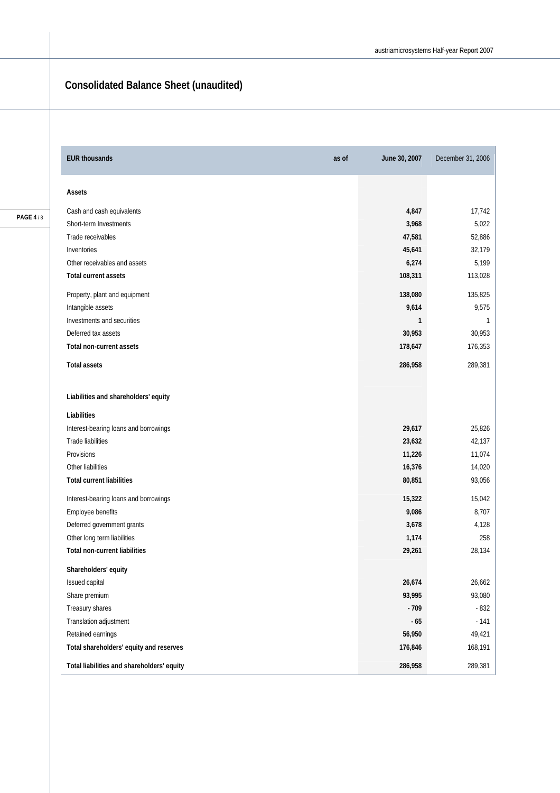## **Consolidated Balance Sheet (unaudited)**

| <b>EUR thousands</b><br>as of              | June 30, 2007 | December 31, 2006 |
|--------------------------------------------|---------------|-------------------|
| Assets                                     |               |                   |
| Cash and cash equivalents                  | 4,847         | 17,742            |
| Short-term Investments                     | 3,968         | 5,022             |
| Trade receivables                          | 47,581        | 52,886            |
| Inventories                                | 45,641        | 32,179            |
| Other receivables and assets               | 6,274         | 5,199             |
| Total current assets                       | 108,311       | 113,028           |
| Property, plant and equipment              | 138,080       | 135,825           |
| Intangible assets                          | 9,614         | 9,575             |
| Investments and securities                 | 1             | 1                 |
| Deferred tax assets                        | 30,953        | 30,953            |
| <b>Total non-current assets</b>            | 178,647       | 176,353           |
| <b>Total assets</b>                        | 286,958       | 289,381           |
| Liabilities and shareholders' equity       |               |                   |
| Liabilities                                |               |                   |
| Interest-bearing loans and borrowings      | 29,617        | 25,826            |
| Trade liabilities                          | 23,632        | 42,137            |
| Provisions                                 | 11,226        | 11,074            |
| Other liabilities                          | 16,376        | 14,020            |
| <b>Total current liabilities</b>           | 80,851        | 93,056            |
| Interest-bearing loans and borrowings      | 15,322        | 15,042            |
| Employee benefits                          | 9,086         | 8,707             |
| Deferred government grants                 | 3,678         | 4,128             |
| Other long term liabilities                | 1,174         | 258               |
| <b>Total non-current liabilities</b>       | 29,261        | 28,134            |
| Shareholders' equity                       |               |                   |
| Issued capital                             | 26,674        | 26,662            |
| Share premium                              | 93,995        | 93,080            |
| Treasury shares                            | $-709$        | $-832$            |
| Translation adjustment                     | $-65$         | $-141$            |
| Retained earnings                          | 56,950        | 49,421            |
| Total shareholders' equity and reserves    | 176,846       | 168,191           |
| Total liabilities and shareholders' equity | 286,958       | 289,381           |

**PAGE 4** / 8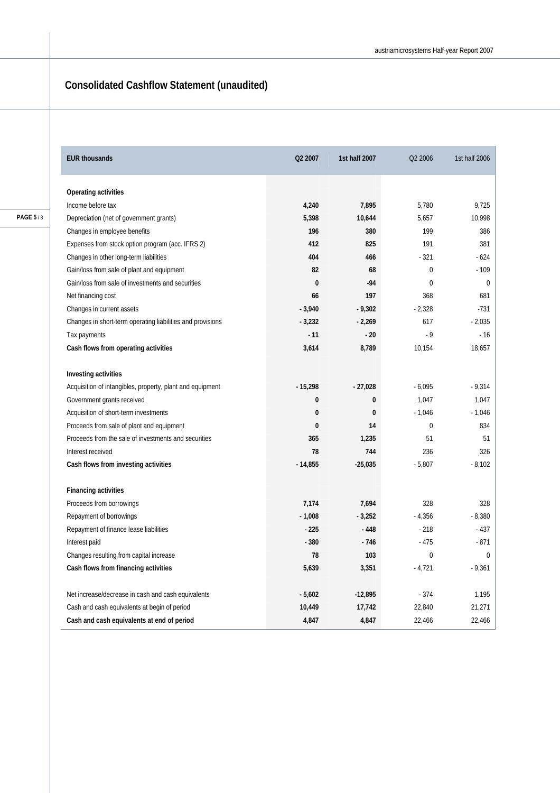## **Consolidated Cashflow Statement (unaudited)**

| <b>EUR thousands</b>                                       | Q2 2007      | 1st half 2007 | Q2 2006  | 1st half 2006 |
|------------------------------------------------------------|--------------|---------------|----------|---------------|
| <b>Operating activities</b>                                |              |               |          |               |
| Income before tax                                          | 4,240        | 7,895         | 5,780    | 9,725         |
| Depreciation (net of government grants)                    | 5,398        | 10,644        | 5,657    | 10,998        |
| Changes in employee benefits                               | 196          | 380           | 199      | 386           |
| Expenses from stock option program (acc. IFRS 2)           | 412          | 825           | 191      | 381           |
| Changes in other long-term liabilities                     | 404          | 466           | $-321$   | - 624         |
| Gain/loss from sale of plant and equipment                 | 82           | 68            | $\Omega$ | $-109$        |
| Gain/loss from sale of investments and securities          | $\mathbf{0}$ | $-94$         | $\theta$ | $\Omega$      |
| Net financing cost                                         | 66           | 197           | 368      | 681           |
| Changes in current assets                                  | $-3,940$     | $-9,302$      | $-2.328$ | $-731$        |
| Changes in short-term operating liabilities and provisions | $-3,232$     | $-2,269$      | 617      | $-2,035$      |
| Tax payments                                               | $-11$        | $-20$         | $-9$     | $-16$         |
| Cash flows from operating activities                       | 3,614        | 8,789         | 10,154   | 18,657        |
| Investing activities                                       |              |               |          |               |
| Acquisition of intangibles, property, plant and equipment  | $-15,298$    | $-27,028$     | $-6,095$ | $-9,314$      |
| Government grants received                                 | $\bf{0}$     | 0             | 1,047    | 1,047         |
| Acquisition of short-term investments                      | $\bf{0}$     | 0             | $-1,046$ | $-1,046$      |
| Proceeds from sale of plant and equipment                  | $\bf{0}$     | 14            | $\Omega$ | 834           |
| Proceeds from the sale of investments and securities       | 365          | 1,235         | 51       | 51            |
| Interest received                                          | 78           | 744           | 236      | 326           |
| Cash flows from investing activities                       | $-14,855$    | $-25,035$     | $-5,807$ | $-8,102$      |
| <b>Financing activities</b>                                |              |               |          |               |
| Proceeds from borrowings                                   | 7,174        | 7,694         | 328      | 328           |
| Repayment of borrowings                                    | $-1,008$     | $-3,252$      | $-4,356$ | $-8,380$      |
| Repayment of finance lease liabilities                     | $-225$       | $-448$        | $-218$   | $-437$        |
| Interest paid                                              | $-380$       | $-746$        | $-475$   | $-871$        |
| Changes resulting from capital increase                    | 78           | 103           | 0        | $\mathbf 0$   |
| Cash flows from financing activities                       | 5,639        | 3,351         | $-4,721$ | $-9,361$      |
| Net increase/decrease in cash and cash equivalents         | $-5,602$     | $-12,895$     | $-374$   | 1,195         |
| Cash and cash equivalents at begin of period               | 10,449       | 17,742        | 22,840   | 21,271        |
| Cash and cash equivalents at end of period                 | 4,847        | 4,847         | 22,466   | 22,466        |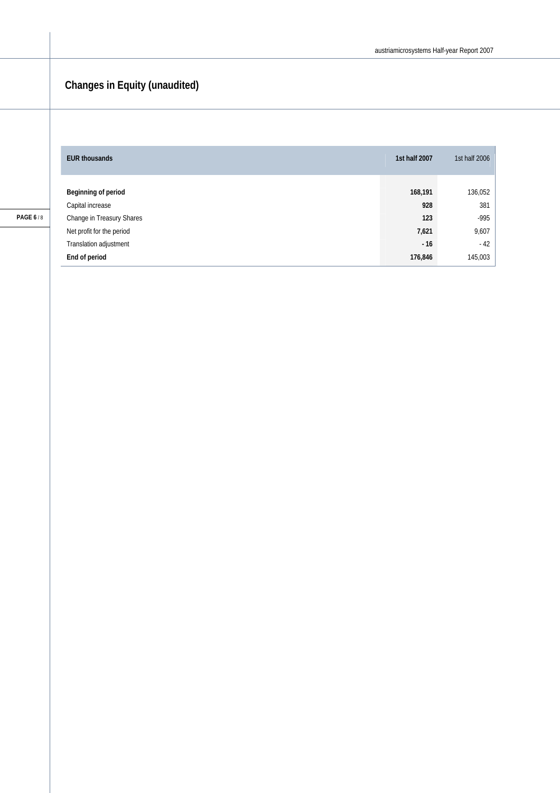## **Changes in Equity (unaudited)**

| <b>EUR thousands</b>      | 1st half 2007 | 1st half 2006 |
|---------------------------|---------------|---------------|
|                           |               |               |
| Beginning of period       | 168,191       | 136,052       |
| Capital increase          | 928           | 381           |
| Change in Treasury Shares | 123           | $-995$        |
| Net profit for the period | 7,621         | 9,607         |
| Translation adjustment    | $-16$         | $-42$         |
| End of period             | 176,846       | 145,003       |

**PAGE 6** / 8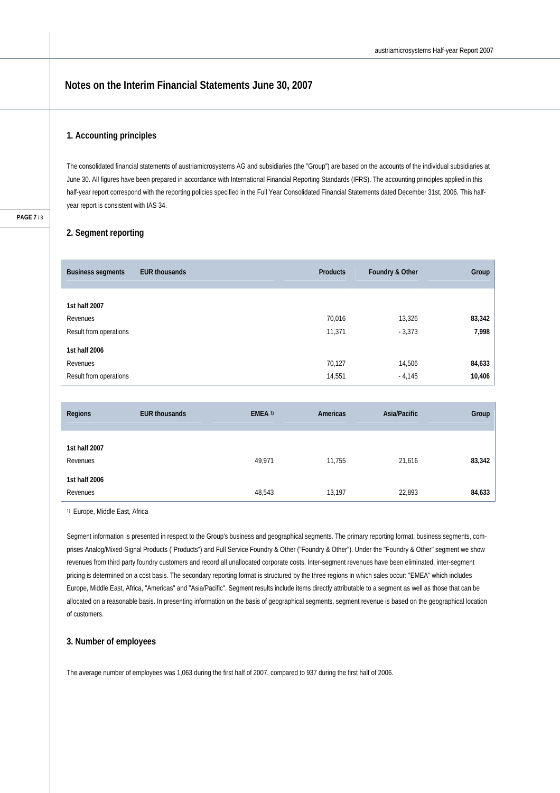### **Notes on the Interim Financial Statements June 30, 2007**

### **1. Accounting principles**

The consolidated financial statements of austriamicrosystems AG and subsidiaries (the "Group") are based on the accounts of the individual subsidiaries at June 30. All figures have been prepared in accordance with International Financial Reporting Standards (IFRS). The accounting principles applied in this half-year report correspond with the reporting policies specified in the Full Year Consolidated Financial Statements dated December 31st, 2006. This halfyear report is consistent with IAS 34.

### **2. Segment reporting**

| <b>Business segments</b>                            | <b>EUR thousands</b> | <b>Products</b>  | Foundry & Other    | Group            |
|-----------------------------------------------------|----------------------|------------------|--------------------|------------------|
| 1st half 2007<br>Revenues<br>Result from operations |                      | 70,016<br>11,371 | 13,326<br>$-3,373$ | 83,342<br>7,998  |
| 1st half 2006<br>Revenues<br>Result from operations |                      | 70,127<br>14,551 | 14,506<br>$-4,145$ | 84,633<br>10,406 |

| Regions                   | <b>EUR thousands</b> | EMEA <sup>1)</sup> | Americas | Asia/Pacific | Group  |
|---------------------------|----------------------|--------------------|----------|--------------|--------|
| 1st half 2007<br>Revenues |                      | 49,971             | 11,755   | 21,616       | 83,342 |
| 1st half 2006<br>Revenues |                      | 48,543             | 13,197   | 22,893       | 84,633 |

1) Europe, Middle East, Africa

Segment information is presented in respect to the Group's business and geographical segments. The primary reporting format, business segments, comprises Analog/Mixed-Signal Products ("Products") and Full Service Foundry & Other ("Foundry & Other"). Under the "Foundry & Other" segment we show revenues from third party foundry customers and record all unallocated corporate costs. Inter-segment revenues have been eliminated, inter-segment pricing is determined on a cost basis. The secondary reporting format is structured by the three regions in which sales occur: "EMEA" which includes Europe, Middle East, Africa, "Americas" and "Asia/Pacific". Segment results include items directly attributable to a segment as well as those that can be allocated on a reasonable basis. In presenting information on the basis of geographical segments, segment revenue is based on the geographical location of customers.

### **3. Number of employees**

The average number of employees was 1,063 during the first half of 2007, compared to 937 during the first half of 2006.

**PAGE 7** / 8